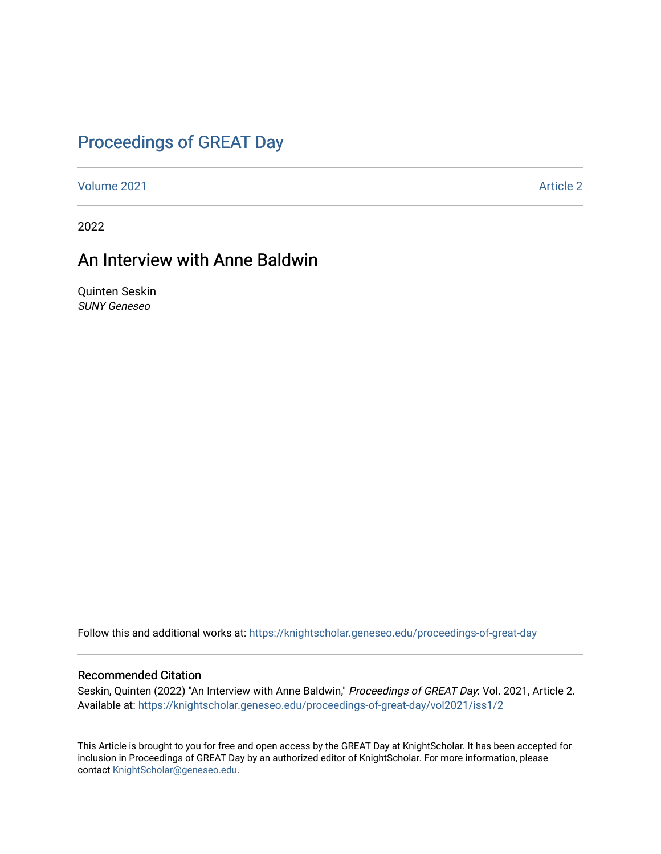### [Proceedings of GREAT Day](https://knightscholar.geneseo.edu/proceedings-of-great-day)

[Volume 2021](https://knightscholar.geneseo.edu/proceedings-of-great-day/vol2021) **Article 2** Article 2

2022

### An Interview with Anne Baldwin

Quinten Seskin SUNY Geneseo

Follow this and additional works at: [https://knightscholar.geneseo.edu/proceedings-of-great-day](https://knightscholar.geneseo.edu/proceedings-of-great-day?utm_source=knightscholar.geneseo.edu%2Fproceedings-of-great-day%2Fvol2021%2Fiss1%2F2&utm_medium=PDF&utm_campaign=PDFCoverPages) 

#### Recommended Citation

Seskin, Quinten (2022) "An Interview with Anne Baldwin," Proceedings of GREAT Day: Vol. 2021, Article 2. Available at: [https://knightscholar.geneseo.edu/proceedings-of-great-day/vol2021/iss1/2](https://knightscholar.geneseo.edu/proceedings-of-great-day/vol2021/iss1/2?utm_source=knightscholar.geneseo.edu%2Fproceedings-of-great-day%2Fvol2021%2Fiss1%2F2&utm_medium=PDF&utm_campaign=PDFCoverPages) 

This Article is brought to you for free and open access by the GREAT Day at KnightScholar. It has been accepted for inclusion in Proceedings of GREAT Day by an authorized editor of KnightScholar. For more information, please contact [KnightScholar@geneseo.edu.](mailto:KnightScholar@geneseo.edu)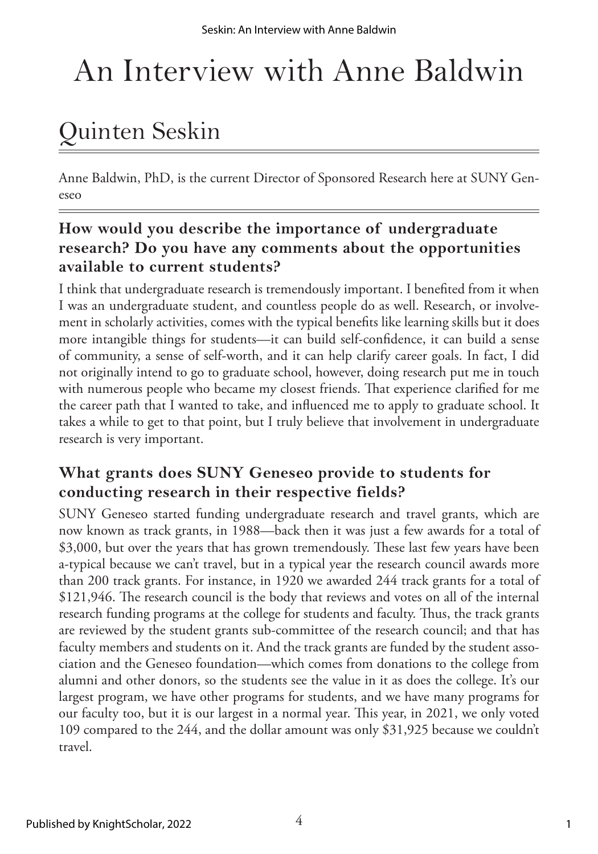# An Interview with Anne Baldwin

## Quinten Seskin

Anne Baldwin, PhD, is the current Director of Sponsored Research here at SUNY Geneseo

### **How would you describe the importance of undergraduate research? Do you have any comments about the opportunities available to current students?**

I think that undergraduate research is tremendously important. I benefited from it when I was an undergraduate student, and countless people do as well. Research, or involvement in scholarly activities, comes with the typical benefits like learning skills but it does more intangible things for students—it can build self-confidence, it can build a sense of community, a sense of self-worth, and it can help clarify career goals. In fact, I did not originally intend to go to graduate school, however, doing research put me in touch with numerous people who became my closest friends. That experience clarified for me the career path that I wanted to take, and influenced me to apply to graduate school. It takes a while to get to that point, but I truly believe that involvement in undergraduate research is very important.

### **What grants does SUNY Geneseo provide to students for conducting research in their respective fields?**

SUNY Geneseo started funding undergraduate research and travel grants, which are now known as track grants, in 1988—back then it was just a few awards for a total of \$3,000, but over the years that has grown tremendously. These last few years have been a-typical because we can't travel, but in a typical year the research council awards more than 200 track grants. For instance, in 1920 we awarded 244 track grants for a total of \$121,946. The research council is the body that reviews and votes on all of the internal research funding programs at the college for students and faculty. Thus, the track grants are reviewed by the student grants sub-committee of the research council; and that has faculty members and students on it. And the track grants are funded by the student association and the Geneseo foundation—which comes from donations to the college from alumni and other donors, so the students see the value in it as does the college. It's our largest program, we have other programs for students, and we have many programs for our faculty too, but it is our largest in a normal year. This year, in 2021, we only voted 109 compared to the 244, and the dollar amount was only \$31,925 because we couldn't travel.